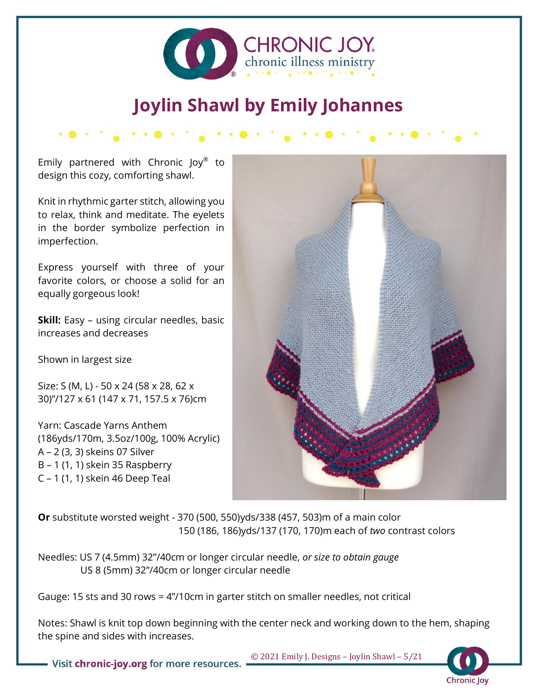

# **Joylin Shawl by Emily Johannes**

Emily partnered with Chronic Joy® to design this cozy, comforting shawl.

Knit in rhythmic garter stitch, allowing you to relax, think and meditate. The eyelets in the border symbolize perfection in imperfection.

Express yourself with three of your favorite colors, or choose a solid for an equally gorgeous look!

**Skill:** Easy – using circular needles, basic increases and decreases

Shown in largest size

Size: S (M, L) - 50 x 24 (58 x 28, 62 x 30)"/127 x 61 (147 x 71, 157.5 x 76)cm

Yarn: Cascade Yarns Anthem (186yds/170m, 3.5oz/100g, 100% Acrylic) A – 2 (3, 3) skeins 07 Silver B – 1 (1, 1) skein 35 Raspberry C – 1 (1, 1) skein 46 Deep Teal



**Or** substitute worsted weight - 370 (500, 550)yds/338 (457, 503)m of a main color 150 (186, 186)yds/137 (170, 170)m each of *two* contrast colors

Needles: US 7 (4.5mm) 32"/40cm or longer circular needle, *or size to obtain gauge* US 8 (5mm) 32"/40cm or longer circular needle

Gauge: 15 sts and 30 rows = 4"/10cm in garter stitch on smaller needles, not critical

Notes: Shawl is knit top down beginning with the center neck and working down to the hem, shaping the spine and sides with increases.



• Visit chronic-joy.org for more resources.  $\Box$  0 2021 Emily J. Designs - Joylin Shawl - 5/21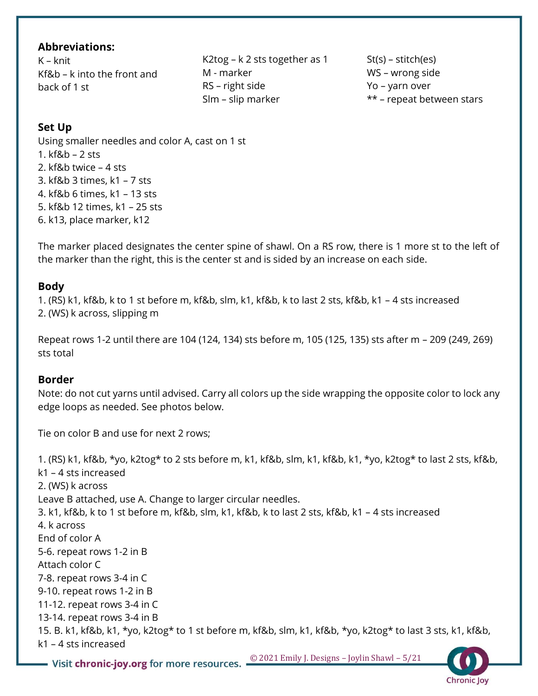### **Abbreviations:**

K – knit Kf&b – k into the front and back of 1 st

K2tog – k 2 sts together as 1 M - marker RS – right side Slm – slip marker

St(s) – stitch(es) WS – wrong side Yo – yarn over \*\* – repeat between stars

Chronic Joy

### **Set Up**

Using smaller needles and color A, cast on 1 st 1. kf&b – 2 sts 2. kf&b twice – 4 sts 3. kf&b 3 times, k1 – 7 sts 4. kf&b 6 times, k1 – 13 sts 5. kf&b 12 times, k1 – 25 sts 6. k13, place marker, k12

The marker placed designates the center spine of shawl. On a RS row, there is 1 more st to the left of the marker than the right, this is the center st and is sided by an increase on each side.

#### **Body**

1. (RS) k1, kf&b, k to 1 st before m, kf&b, slm, k1, kf&b, k to last 2 sts, kf&b, k1 – 4 sts increased 2. (WS) k across, slipping m

Repeat rows 1-2 until there are 104 (124, 134) sts before m, 105 (125, 135) sts after m – 209 (249, 269) sts total

#### **Border**

Note: do not cut yarns until advised. Carry all colors up the side wrapping the opposite color to lock any edge loops as needed. See photos below.

Tie on color B and use for next 2 rows;

**– Visit chronic-joy.org for more resources.**  $\frac{\circledcirc 2021 \text{ Emily J. Designs } - \text{Joylin Shawl } - 5/21}$ 1. (RS) k1, kf&b, \*yo, k2tog\* to 2 sts before m, k1, kf&b, slm, k1, kf&b, k1, \*yo, k2tog\* to last 2 sts, kf&b, k1 – 4 sts increased 2. (WS) k across Leave B attached, use A. Change to larger circular needles. 3. k1, kf&b, k to 1 st before m, kf&b, slm, k1, kf&b, k to last 2 sts, kf&b, k1 – 4 sts increased 4. k across End of color A 5-6. repeat rows 1-2 in B Attach color C 7-8. repeat rows 3-4 in C 9-10. repeat rows 1-2 in B 11-12. repeat rows 3-4 in C 13-14. repeat rows 3-4 in B 15. B. k1, kf&b, k1, \*yo, k2tog\* to 1 st before m, kf&b, slm, k1, kf&b, \*yo, k2tog\* to last 3 sts, k1, kf&b, k1 – 4 sts increased